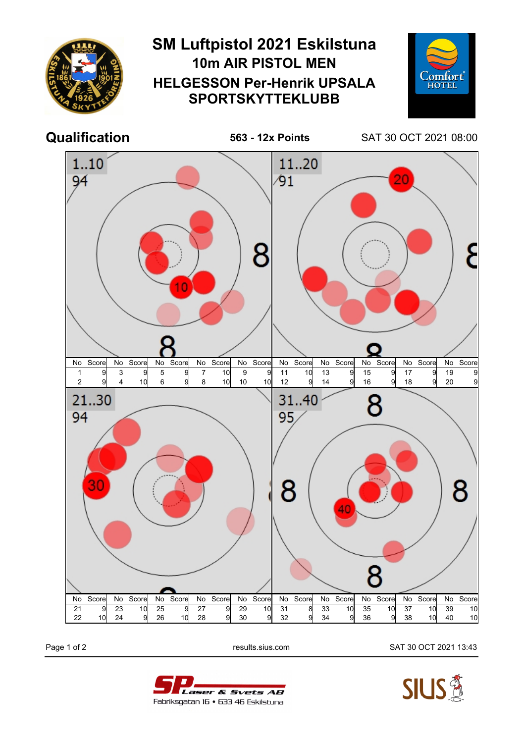

Page 1 of 2 results.sius.com SAT 30 OCT 2021 13:43